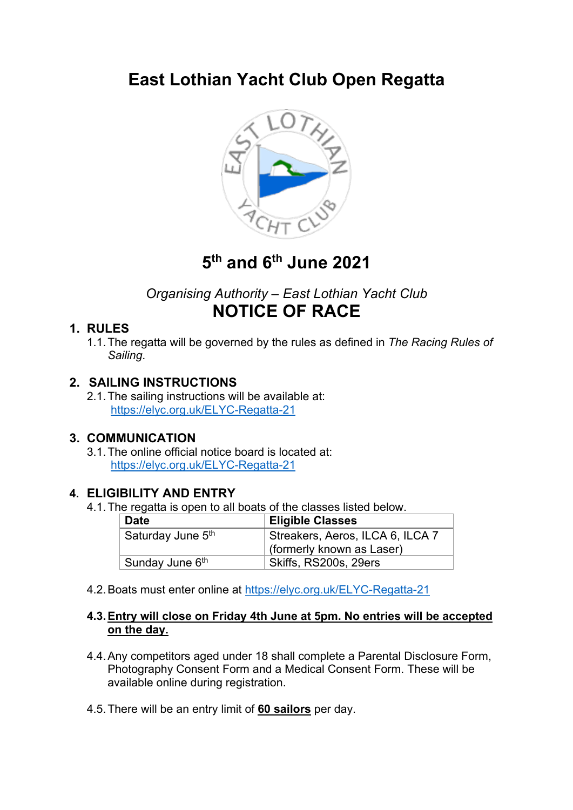# **East Lothian Yacht Club Open Regatta**



# **5th and 6th June 2021**

## *Organising Authority – East Lothian Yacht Club* **NOTICE OF RACE**

### **1. RULES**

1.1.The regatta will be governed by the rules as defined in *The Racing Rules of Sailing*.

### **2. SAILING INSTRUCTIONS**

2.1.The sailing instructions will be available at: https://elyc.org.uk/ELYC-Regatta-21

#### **3. COMMUNICATION**

3.1.The online official notice board is located at: https://elyc.org.uk/ELYC-Regatta-21

#### **4. ELIGIBILITY AND ENTRY**

4.1.The regatta is open to all boats of the classes listed below.

| <b>Date</b>                   | <b>Eligible Classes</b>          |  |
|-------------------------------|----------------------------------|--|
| Saturday June 5 <sup>th</sup> | Streakers, Aeros, ILCA 6, ILCA 7 |  |
|                               | (formerly known as Laser)        |  |
| Sunday June 6 <sup>th</sup>   | Skiffs, RS200s, 29ers            |  |

4.2.Boats must enter online at https://elyc.org.uk/ELYC-Regatta-21

#### **4.3.Entry will close on Friday 4th June at 5pm. No entries will be accepted on the day.**

- 4.4.Any competitors aged under 18 shall complete a Parental Disclosure Form, Photography Consent Form and a Medical Consent Form. These will be available online during registration.
- 4.5.There will be an entry limit of **60 sailors** per day.